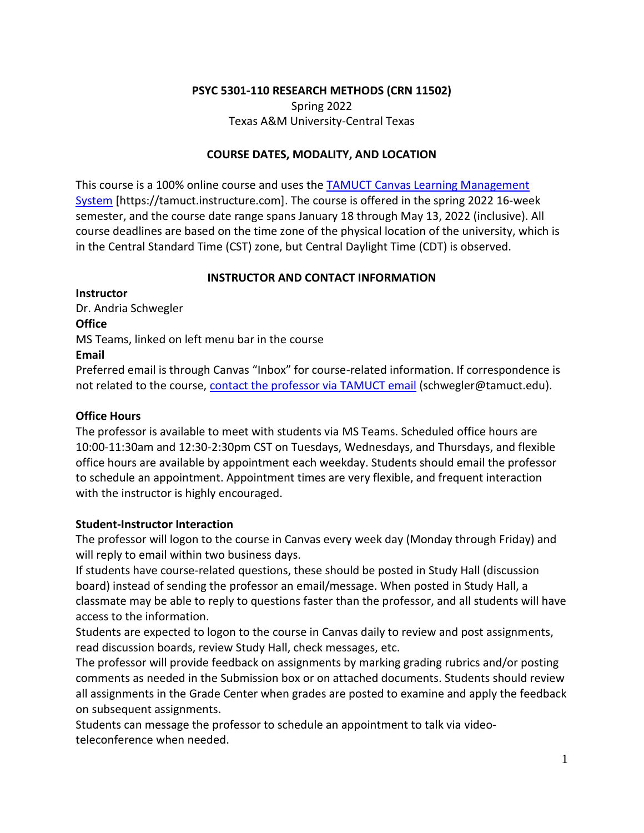# **PSYC 5301-110 RESEARCH METHODS (CRN 11502)** Spring 2022

# Texas A&M University-Central Texas

# **COURSE DATES, MODALITY, AND LOCATION**

This course is a 100% online course and uses the [TAMUCT Canvas Learning Management](https://tamuct.instructure.com/)  [System](https://tamuct.instructure.com/) [https://tamuct.instructure.com]. The course is offered in the spring 2022 16-week semester, and the course date range spans January 18 through May 13, 2022 (inclusive). All course deadlines are based on the time zone of the physical location of the university, which is in the Central Standard Time (CST) zone, but Central Daylight Time (CDT) is observed.

# **INSTRUCTOR AND CONTACT INFORMATION**

**Instructor**  Dr. Andria Schwegler **Office**  MS Teams, linked on left menu bar in the course **Email** 

Preferred email is through Canvas "Inbox" for course-related information. If correspondence is not related to the course, [contact the professor via TAMUCT email](mailto:schwegler@tamuct.edu) (schwegler@tamuct.edu).

# **Office Hours**

The professor is available to meet with students via MS Teams. Scheduled office hours are 10:00-11:30am and 12:30-2:30pm CST on Tuesdays, Wednesdays, and Thursdays, and flexible office hours are available by appointment each weekday. Students should email the professor to schedule an appointment. Appointment times are very flexible, and frequent interaction with the instructor is highly encouraged.

# **Student-Instructor Interaction**

The professor will logon to the course in Canvas every week day (Monday through Friday) and will reply to email within two business days.

If students have course-related questions, these should be posted in Study Hall (discussion board) instead of sending the professor an email/message. When posted in Study Hall, a classmate may be able to reply to questions faster than the professor, and all students will have access to the information.

Students are expected to logon to the course in Canvas daily to review and post assignments, read discussion boards, review Study Hall, check messages, etc.

The professor will provide feedback on assignments by marking grading rubrics and/or posting comments as needed in the Submission box or on attached documents. Students should review all assignments in the Grade Center when grades are posted to examine and apply the feedback on subsequent assignments.

Students can message the professor to schedule an appointment to talk via videoteleconference when needed.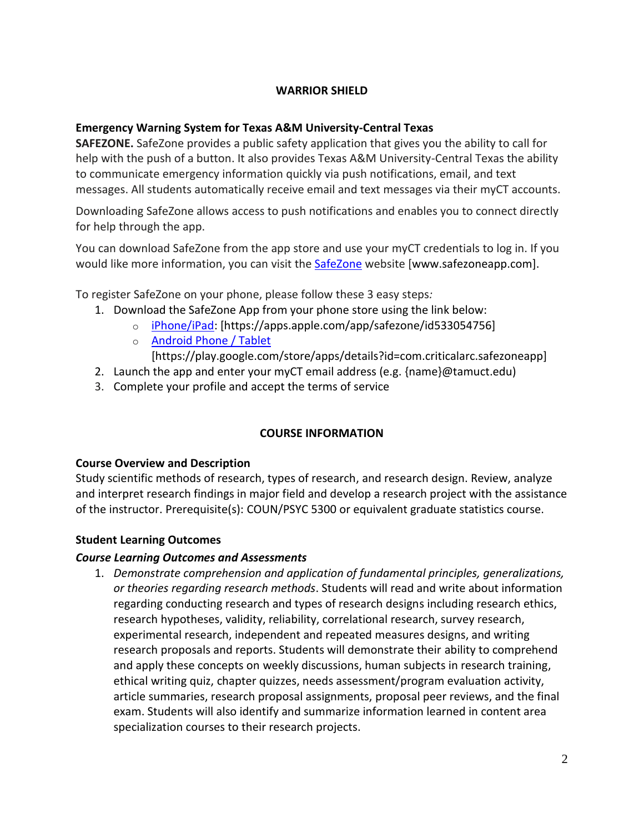# **WARRIOR SHIELD**

# **Emergency Warning System for Texas A&M University-Central Texas**

**SAFEZONE.** SafeZone provides a public safety application that gives you the ability to call for help with the push of a button. It also provides Texas A&M University-Central Texas the ability to communicate emergency information quickly via push notifications, email, and text messages. All students automatically receive email and text messages via their myCT accounts.

Downloading SafeZone allows access to push notifications and enables you to connect directly for help through the app.

You can download SafeZone from the app store and use your myCT credentials to log in. If you would like more information, you can visit the [SafeZone](http://www.safezoneapp.com/) website [www.safezoneapp.com].

To register SafeZone on your phone, please follow these 3 easy steps*:*

- 1. Download the SafeZone App from your phone store using the link below:
	- o [iPhone/iPad:](https://apps.apple.com/app/safezone/id533054756) [https://apps.apple.com/app/safezone/id533054756]
	- o [Android Phone / Tablet](https://play.google.com/store/apps/details?id=com.criticalarc.safezoneapp)
		- [https://play.google.com/store/apps/details?id=com.criticalarc.safezoneapp]
- 2. Launch the app and enter your myCT email address (e.g. {name}@tamuct.edu)
- 3. Complete your profile and accept the terms of service

# **COURSE INFORMATION**

# **Course Overview and Description**

Study scientific methods of research, types of research, and research design. Review, analyze and interpret research findings in major field and develop a research project with the assistance of the instructor. Prerequisite(s): COUN/PSYC 5300 or equivalent graduate statistics course.

# **Student Learning Outcomes**

# *Course Learning Outcomes and Assessments*

1. *Demonstrate comprehension and application of fundamental principles, generalizations, or theories regarding research methods*. Students will read and write about information regarding conducting research and types of research designs including research ethics, research hypotheses, validity, reliability, correlational research, survey research, experimental research, independent and repeated measures designs, and writing research proposals and reports. Students will demonstrate their ability to comprehend and apply these concepts on weekly discussions, human subjects in research training, ethical writing quiz, chapter quizzes, needs assessment/program evaluation activity, article summaries, research proposal assignments, proposal peer reviews, and the final exam. Students will also identify and summarize information learned in content area specialization courses to their research projects.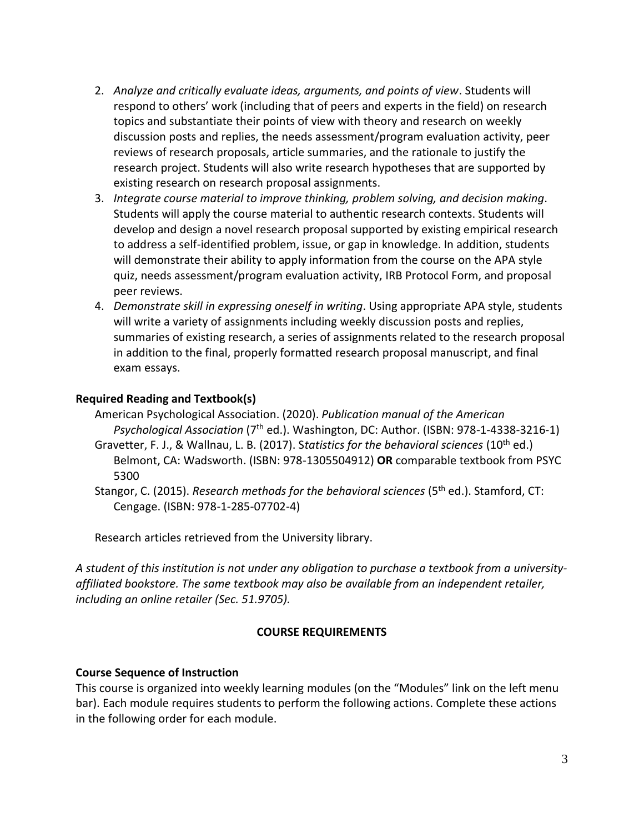- 2. *Analyze and critically evaluate ideas, arguments, and points of view*. Students will respond to others' work (including that of peers and experts in the field) on research topics and substantiate their points of view with theory and research on weekly discussion posts and replies, the needs assessment/program evaluation activity, peer reviews of research proposals, article summaries, and the rationale to justify the research project. Students will also write research hypotheses that are supported by existing research on research proposal assignments.
- 3. *Integrate course material to improve thinking, problem solving, and decision making*. Students will apply the course material to authentic research contexts. Students will develop and design a novel research proposal supported by existing empirical research to address a self-identified problem, issue, or gap in knowledge. In addition, students will demonstrate their ability to apply information from the course on the APA style quiz, needs assessment/program evaluation activity, IRB Protocol Form, and proposal peer reviews.
- 4. *Demonstrate skill in expressing oneself in writing*. Using appropriate APA style, students will write a variety of assignments including weekly discussion posts and replies, summaries of existing research, a series of assignments related to the research proposal in addition to the final, properly formatted research proposal manuscript, and final exam essays.

### **Required Reading and Textbook(s)**

American Psychological Association. (2020). *Publication manual of the American*  Psychological Association (7<sup>th</sup> ed.). Washington, DC: Author. (ISBN: 978-1-4338-3216-1)

- Gravetter, F. J., & Wallnau, L. B. (2017). Statistics for the behavioral sciences (10<sup>th</sup> ed.) Belmont, CA: Wadsworth. (ISBN: 978-1305504912) **OR** comparable textbook from PSYC 5300
- Stangor, C. (2015). *Research methods for the behavioral sciences* (5<sup>th</sup> ed.). Stamford, CT: Cengage. (ISBN: 978-1-285-07702-4)

Research articles retrieved from the University library.

*A student of this institution is not under any obligation to purchase a textbook from a universityaffiliated bookstore. The same textbook may also be available from an independent retailer, including an online retailer (Sec. 51.9705).*

#### **COURSE REQUIREMENTS**

#### **Course Sequence of Instruction**

This course is organized into weekly learning modules (on the "Modules" link on the left menu bar). Each module requires students to perform the following actions. Complete these actions in the following order for each module.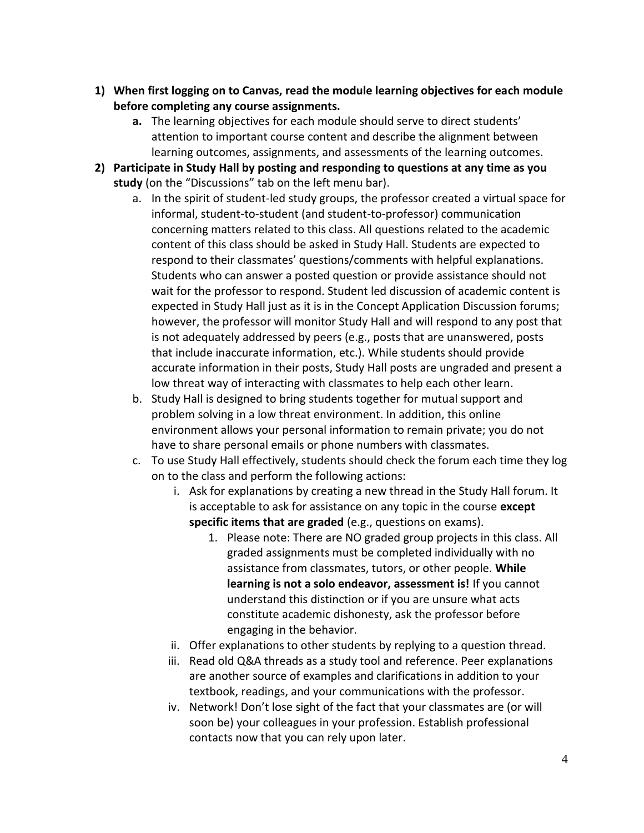- **1) When first logging on to Canvas, read the module learning objectives for each module before completing any course assignments.**
	- **a.** The learning objectives for each module should serve to direct students' attention to important course content and describe the alignment between learning outcomes, assignments, and assessments of the learning outcomes.
- **2) Participate in Study Hall by posting and responding to questions at any time as you study** (on the "Discussions" tab on the left menu bar).
	- a. In the spirit of student-led study groups, the professor created a virtual space for informal, student-to-student (and student-to-professor) communication concerning matters related to this class. All questions related to the academic content of this class should be asked in Study Hall. Students are expected to respond to their classmates' questions/comments with helpful explanations. Students who can answer a posted question or provide assistance should not wait for the professor to respond. Student led discussion of academic content is expected in Study Hall just as it is in the Concept Application Discussion forums; however, the professor will monitor Study Hall and will respond to any post that is not adequately addressed by peers (e.g., posts that are unanswered, posts that include inaccurate information, etc.). While students should provide accurate information in their posts, Study Hall posts are ungraded and present a low threat way of interacting with classmates to help each other learn.
	- b. Study Hall is designed to bring students together for mutual support and problem solving in a low threat environment. In addition, this online environment allows your personal information to remain private; you do not have to share personal emails or phone numbers with classmates.
	- c. To use Study Hall effectively, students should check the forum each time they log on to the class and perform the following actions:
		- i. Ask for explanations by creating a new thread in the Study Hall forum. It is acceptable to ask for assistance on any topic in the course **except specific items that are graded** (e.g., questions on exams).
			- 1. Please note: There are NO graded group projects in this class. All graded assignments must be completed individually with no assistance from classmates, tutors, or other people. **While learning is not a solo endeavor, assessment is!** If you cannot understand this distinction or if you are unsure what acts constitute academic dishonesty, ask the professor before engaging in the behavior.
		- ii. Offer explanations to other students by replying to a question thread.
		- iii. Read old Q&A threads as a study tool and reference. Peer explanations are another source of examples and clarifications in addition to your textbook, readings, and your communications with the professor.
		- iv. Network! Don't lose sight of the fact that your classmates are (or will soon be) your colleagues in your profession. Establish professional contacts now that you can rely upon later.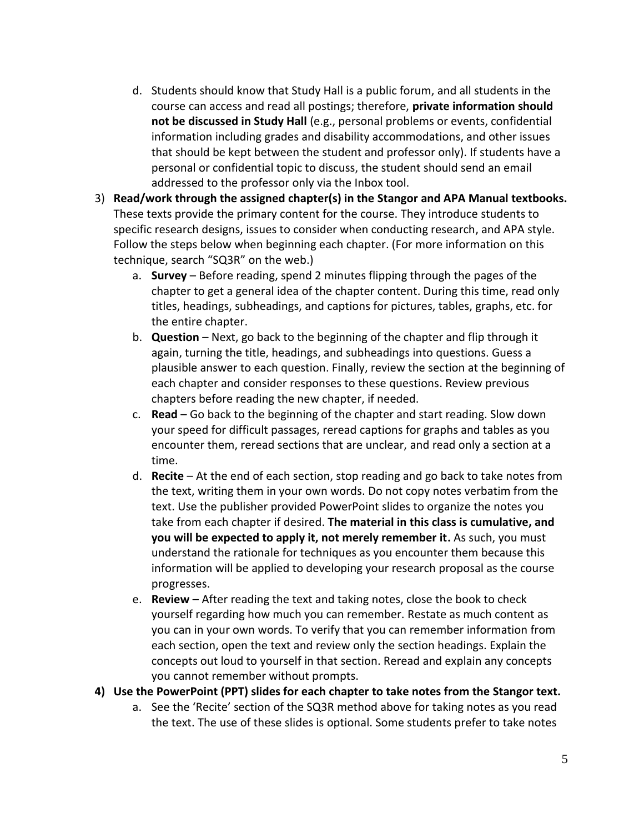- d. Students should know that Study Hall is a public forum, and all students in the course can access and read all postings; therefore, **private information should not be discussed in Study Hall** (e.g., personal problems or events, confidential information including grades and disability accommodations, and other issues that should be kept between the student and professor only). If students have a personal or confidential topic to discuss, the student should send an email addressed to the professor only via the Inbox tool.
- 3) **Read/work through the assigned chapter(s) in the Stangor and APA Manual textbooks.** These texts provide the primary content for the course. They introduce students to specific research designs, issues to consider when conducting research, and APA style. Follow the steps below when beginning each chapter. (For more information on this technique, search "SQ3R" on the web.)
	- a. **Survey** Before reading, spend 2 minutes flipping through the pages of the chapter to get a general idea of the chapter content. During this time, read only titles, headings, subheadings, and captions for pictures, tables, graphs, etc. for the entire chapter.
	- b. **Question** Next, go back to the beginning of the chapter and flip through it again, turning the title, headings, and subheadings into questions. Guess a plausible answer to each question. Finally, review the section at the beginning of each chapter and consider responses to these questions. Review previous chapters before reading the new chapter, if needed.
	- c. **Read** Go back to the beginning of the chapter and start reading. Slow down your speed for difficult passages, reread captions for graphs and tables as you encounter them, reread sections that are unclear, and read only a section at a time.
	- d. **Recite** At the end of each section, stop reading and go back to take notes from the text, writing them in your own words. Do not copy notes verbatim from the text. Use the publisher provided PowerPoint slides to organize the notes you take from each chapter if desired. **The material in this class is cumulative, and you will be expected to apply it, not merely remember it.** As such, you must understand the rationale for techniques as you encounter them because this information will be applied to developing your research proposal as the course progresses.
	- e. **Review** After reading the text and taking notes, close the book to check yourself regarding how much you can remember. Restate as much content as you can in your own words. To verify that you can remember information from each section, open the text and review only the section headings. Explain the concepts out loud to yourself in that section. Reread and explain any concepts you cannot remember without prompts.

#### **4) Use the PowerPoint (PPT) slides for each chapter to take notes from the Stangor text.**

a. See the 'Recite' section of the SQ3R method above for taking notes as you read the text. The use of these slides is optional. Some students prefer to take notes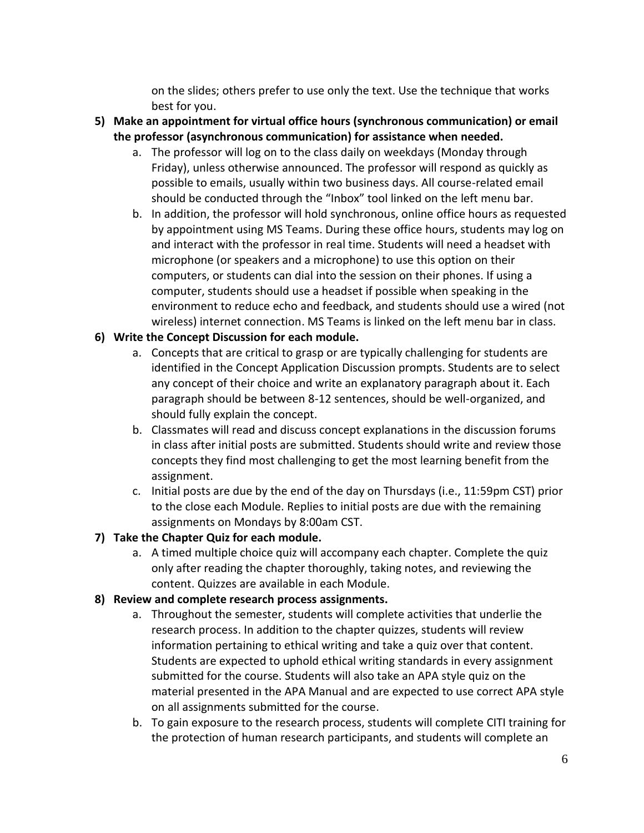on the slides; others prefer to use only the text. Use the technique that works best for you.

- **5) Make an appointment for virtual office hours (synchronous communication) or email the professor (asynchronous communication) for assistance when needed.**
	- a. The professor will log on to the class daily on weekdays (Monday through Friday), unless otherwise announced. The professor will respond as quickly as possible to emails, usually within two business days. All course-related email should be conducted through the "Inbox" tool linked on the left menu bar.
	- b. In addition, the professor will hold synchronous, online office hours as requested by appointment using MS Teams. During these office hours, students may log on and interact with the professor in real time. Students will need a headset with microphone (or speakers and a microphone) to use this option on their computers, or students can dial into the session on their phones. If using a computer, students should use a headset if possible when speaking in the environment to reduce echo and feedback, and students should use a wired (not wireless) internet connection. MS Teams is linked on the left menu bar in class.

# **6) Write the Concept Discussion for each module.**

- a. Concepts that are critical to grasp or are typically challenging for students are identified in the Concept Application Discussion prompts. Students are to select any concept of their choice and write an explanatory paragraph about it. Each paragraph should be between 8-12 sentences, should be well-organized, and should fully explain the concept.
- b. Classmates will read and discuss concept explanations in the discussion forums in class after initial posts are submitted. Students should write and review those concepts they find most challenging to get the most learning benefit from the assignment.
- c. Initial posts are due by the end of the day on Thursdays (i.e., 11:59pm CST) prior to the close each Module. Replies to initial posts are due with the remaining assignments on Mondays by 8:00am CST.

# **7) Take the Chapter Quiz for each module.**

a. A timed multiple choice quiz will accompany each chapter. Complete the quiz only after reading the chapter thoroughly, taking notes, and reviewing the content. Quizzes are available in each Module.

# **8) Review and complete research process assignments.**

- a. Throughout the semester, students will complete activities that underlie the research process. In addition to the chapter quizzes, students will review information pertaining to ethical writing and take a quiz over that content. Students are expected to uphold ethical writing standards in every assignment submitted for the course. Students will also take an APA style quiz on the material presented in the APA Manual and are expected to use correct APA style on all assignments submitted for the course.
- b. To gain exposure to the research process, students will complete CITI training for the protection of human research participants, and students will complete an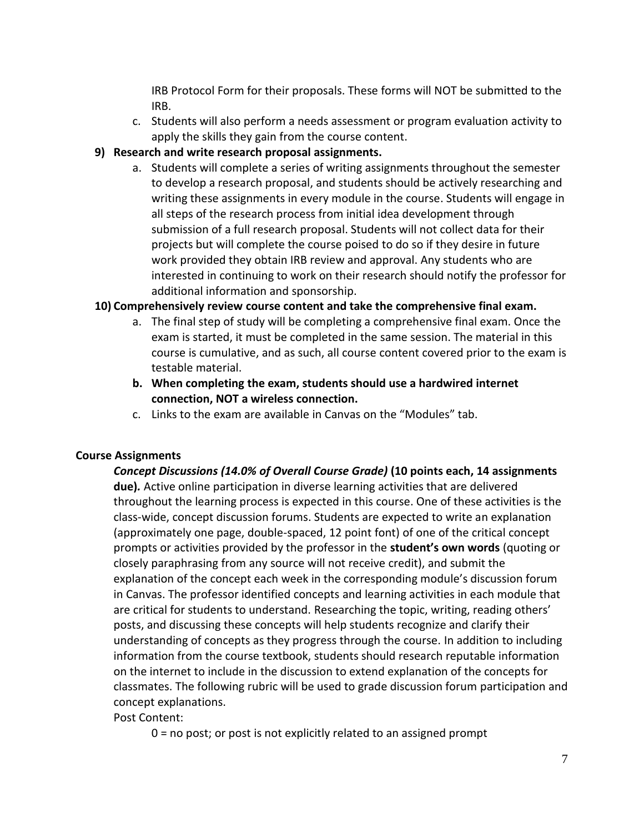IRB Protocol Form for their proposals. These forms will NOT be submitted to the IRB.

c. Students will also perform a needs assessment or program evaluation activity to apply the skills they gain from the course content.

# **9) Research and write research proposal assignments.**

a. Students will complete a series of writing assignments throughout the semester to develop a research proposal, and students should be actively researching and writing these assignments in every module in the course. Students will engage in all steps of the research process from initial idea development through submission of a full research proposal. Students will not collect data for their projects but will complete the course poised to do so if they desire in future work provided they obtain IRB review and approval. Any students who are interested in continuing to work on their research should notify the professor for additional information and sponsorship.

# **10) Comprehensively review course content and take the comprehensive final exam.**

- a. The final step of study will be completing a comprehensive final exam. Once the exam is started, it must be completed in the same session. The material in this course is cumulative, and as such, all course content covered prior to the exam is testable material.
- **b. When completing the exam, students should use a hardwired internet connection, NOT a wireless connection.**
- c. Links to the exam are available in Canvas on the "Modules" tab.

# **Course Assignments**

*Concept Discussions (14.0% of Overall Course Grade)* **(10 points each, 14 assignments due)***.* Active online participation in diverse learning activities that are delivered throughout the learning process is expected in this course. One of these activities is the class-wide, concept discussion forums. Students are expected to write an explanation (approximately one page, double-spaced, 12 point font) of one of the critical concept prompts or activities provided by the professor in the **student's own words** (quoting or closely paraphrasing from any source will not receive credit), and submit the explanation of the concept each week in the corresponding module's discussion forum in Canvas. The professor identified concepts and learning activities in each module that are critical for students to understand. Researching the topic, writing, reading others' posts, and discussing these concepts will help students recognize and clarify their understanding of concepts as they progress through the course. In addition to including information from the course textbook, students should research reputable information on the internet to include in the discussion to extend explanation of the concepts for classmates. The following rubric will be used to grade discussion forum participation and concept explanations.

# Post Content:

0 = no post; or post is not explicitly related to an assigned prompt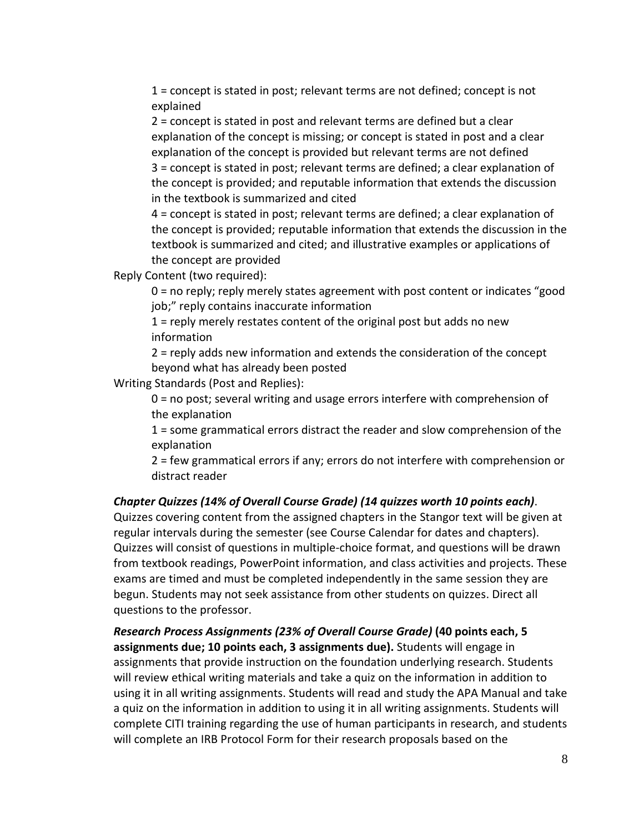1 = concept is stated in post; relevant terms are not defined; concept is not explained

2 = concept is stated in post and relevant terms are defined but a clear explanation of the concept is missing; or concept is stated in post and a clear explanation of the concept is provided but relevant terms are not defined 3 = concept is stated in post; relevant terms are defined; a clear explanation of the concept is provided; and reputable information that extends the discussion in the textbook is summarized and cited

4 = concept is stated in post; relevant terms are defined; a clear explanation of the concept is provided; reputable information that extends the discussion in the textbook is summarized and cited; and illustrative examples or applications of the concept are provided

Reply Content (two required):

0 = no reply; reply merely states agreement with post content or indicates "good job;" reply contains inaccurate information

1 = reply merely restates content of the original post but adds no new information

2 = reply adds new information and extends the consideration of the concept beyond what has already been posted

Writing Standards (Post and Replies):

0 = no post; several writing and usage errors interfere with comprehension of the explanation

1 = some grammatical errors distract the reader and slow comprehension of the explanation

2 = few grammatical errors if any; errors do not interfere with comprehension or distract reader

# *Chapter Quizzes (14% of Overall Course Grade) (14 quizzes worth 10 points each)*.

Quizzes covering content from the assigned chapters in the Stangor text will be given at regular intervals during the semester (see Course Calendar for dates and chapters). Quizzes will consist of questions in multiple-choice format, and questions will be drawn from textbook readings, PowerPoint information, and class activities and projects. These exams are timed and must be completed independently in the same session they are begun. Students may not seek assistance from other students on quizzes. Direct all questions to the professor.

*Research Process Assignments (23% of Overall Course Grade)* **(40 points each, 5 assignments due; 10 points each, 3 assignments due).** Students will engage in assignments that provide instruction on the foundation underlying research. Students will review ethical writing materials and take a quiz on the information in addition to using it in all writing assignments. Students will read and study the APA Manual and take a quiz on the information in addition to using it in all writing assignments. Students will complete CITI training regarding the use of human participants in research, and students will complete an IRB Protocol Form for their research proposals based on the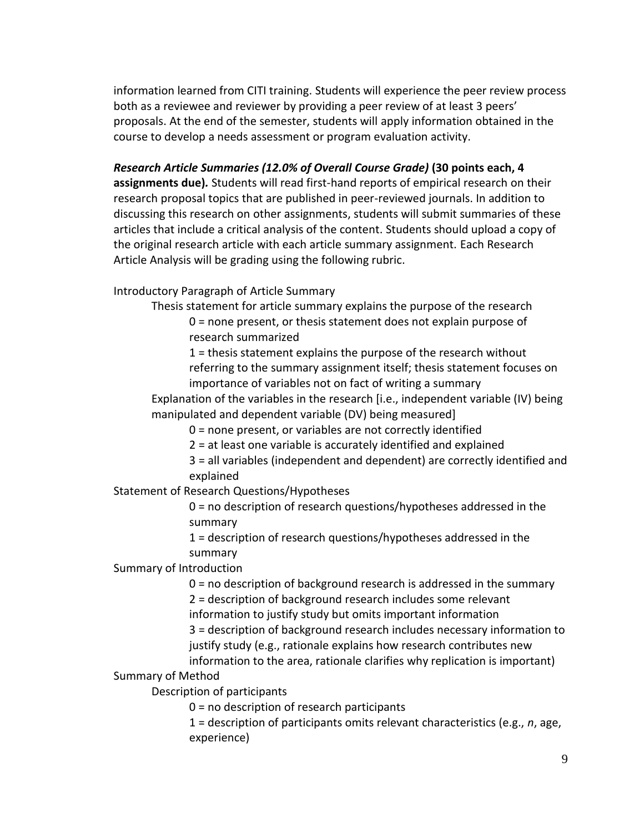information learned from CITI training. Students will experience the peer review process both as a reviewee and reviewer by providing a peer review of at least 3 peers' proposals. At the end of the semester, students will apply information obtained in the course to develop a needs assessment or program evaluation activity.

*Research Article Summaries (12.0% of Overall Course Grade)* **(30 points each, 4 assignments due)***.* Students will read first-hand reports of empirical research on their research proposal topics that are published in peer-reviewed journals. In addition to discussing this research on other assignments, students will submit summaries of these articles that include a critical analysis of the content. Students should upload a copy of the original research article with each article summary assignment. Each Research Article Analysis will be grading using the following rubric.

### Introductory Paragraph of Article Summary

Thesis statement for article summary explains the purpose of the research 0 = none present, or thesis statement does not explain purpose of

research summarized

1 = thesis statement explains the purpose of the research without referring to the summary assignment itself; thesis statement focuses on importance of variables not on fact of writing a summary

Explanation of the variables in the research [i.e., independent variable (IV) being manipulated and dependent variable (DV) being measured]

0 = none present, or variables are not correctly identified

2 = at least one variable is accurately identified and explained

3 = all variables (independent and dependent) are correctly identified and explained

# Statement of Research Questions/Hypotheses

0 = no description of research questions/hypotheses addressed in the summary

1 = description of research questions/hypotheses addressed in the summary

#### Summary of Introduction

0 = no description of background research is addressed in the summary

2 = description of background research includes some relevant information to justify study but omits important information

3 = description of background research includes necessary information to justify study (e.g., rationale explains how research contributes new

information to the area, rationale clarifies why replication is important)

### Summary of Method

Description of participants

0 = no description of research participants

1 = description of participants omits relevant characteristics (e.g., *n*, age, experience)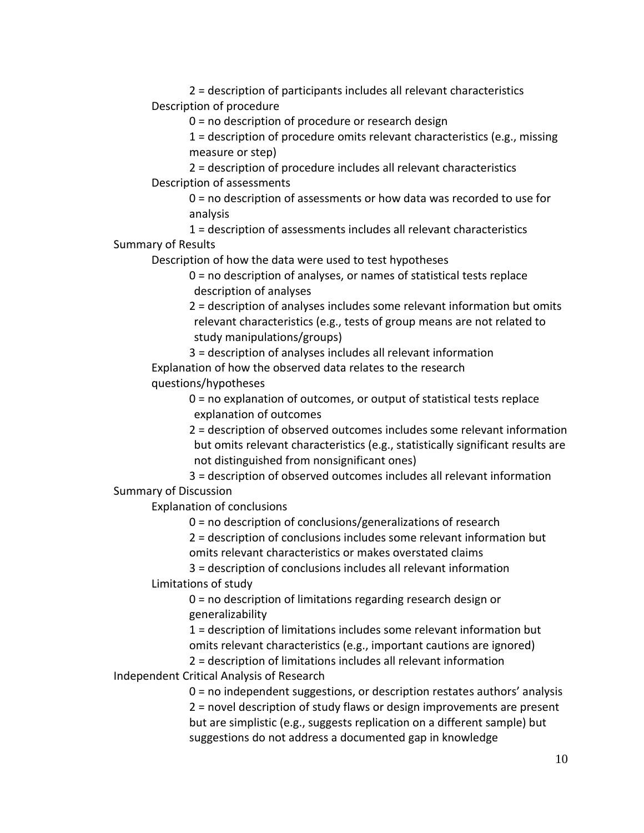2 = description of participants includes all relevant characteristics Description of procedure

0 = no description of procedure or research design

1 = description of procedure omits relevant characteristics (e.g., missing measure or step)

2 = description of procedure includes all relevant characteristics Description of assessments

0 = no description of assessments or how data was recorded to use for analysis

1 = description of assessments includes all relevant characteristics Summary of Results

Description of how the data were used to test hypotheses

0 = no description of analyses, or names of statistical tests replace description of analyses

2 = description of analyses includes some relevant information but omits relevant characteristics (e.g., tests of group means are not related to study manipulations/groups)

3 = description of analyses includes all relevant information Explanation of how the observed data relates to the research questions/hypotheses

> 0 = no explanation of outcomes, or output of statistical tests replace explanation of outcomes

2 = description of observed outcomes includes some relevant information but omits relevant characteristics (e.g., statistically significant results are not distinguished from nonsignificant ones)

3 = description of observed outcomes includes all relevant information Summary of Discussion

Explanation of conclusions

0 = no description of conclusions/generalizations of research

2 = description of conclusions includes some relevant information but

omits relevant characteristics or makes overstated claims

3 = description of conclusions includes all relevant information Limitations of study

> 0 = no description of limitations regarding research design or generalizability

1 = description of limitations includes some relevant information but omits relevant characteristics (e.g., important cautions are ignored)

2 = description of limitations includes all relevant information Independent Critical Analysis of Research

> 0 = no independent suggestions, or description restates authors' analysis 2 = novel description of study flaws or design improvements are present but are simplistic (e.g., suggests replication on a different sample) but suggestions do not address a documented gap in knowledge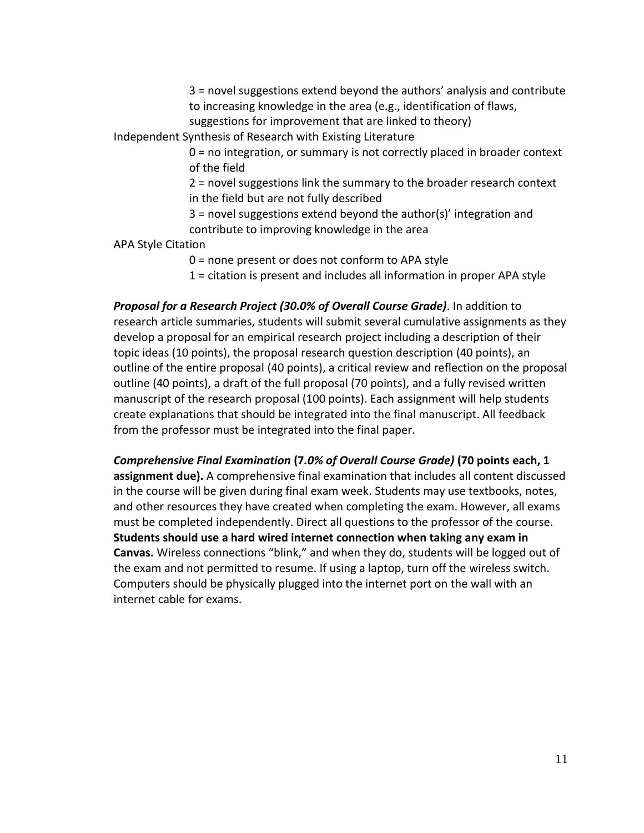3 = novel suggestions extend beyond the authors' analysis and contribute to increasing knowledge in the area (e.g., identification of flaws,

suggestions for improvement that are linked to theory)

Independent Synthesis of Research with Existing Literature

0 = no integration, or summary is not correctly placed in broader context of the field

2 = novel suggestions link the summary to the broader research context in the field but are not fully described

3 = novel suggestions extend beyond the author(s)' integration and contribute to improving knowledge in the area

APA Style Citation

0 = none present or does not conform to APA style

1 = citation is present and includes all information in proper APA style

*Proposal for a Research Project (30.0% of Overall Course Grade)*. In addition to research article summaries, students will submit several cumulative assignments as they develop a proposal for an empirical research project including a description of their topic ideas (10 points), the proposal research question description (40 points), an outline of the entire proposal (40 points), a critical review and reflection on the proposal outline (40 points), a draft of the full proposal (70 points), and a fully revised written manuscript of the research proposal (100 points). Each assignment will help students create explanations that should be integrated into the final manuscript. All feedback from the professor must be integrated into the final paper.

*Comprehensive Final Examination* **(7***.0% of Overall Course Grade)* **(70 points each, 1 assignment due).** A comprehensive final examination that includes all content discussed in the course will be given during final exam week. Students may use textbooks, notes, and other resources they have created when completing the exam. However, all exams must be completed independently. Direct all questions to the professor of the course. **Students should use a hard wired internet connection when taking any exam in Canvas.** Wireless connections "blink," and when they do, students will be logged out of the exam and not permitted to resume. If using a laptop, turn off the wireless switch. Computers should be physically plugged into the internet port on the wall with an internet cable for exams.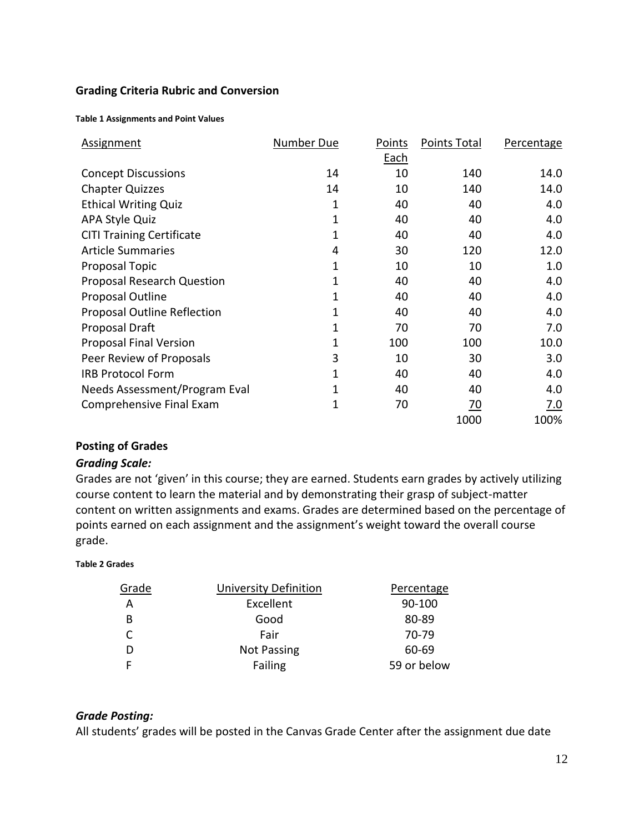#### **Grading Criteria Rubric and Conversion**

#### **Table 1 Assignments and Point Values**

| <b>Assignment</b>                  | Number Due | Points | Points Total | Percentage |
|------------------------------------|------------|--------|--------------|------------|
|                                    |            | Each   |              |            |
| <b>Concept Discussions</b>         | 14         | 10     | 140          | 14.0       |
| <b>Chapter Quizzes</b>             | 14         | 10     | 140          | 14.0       |
| <b>Ethical Writing Quiz</b>        | 1          | 40     | 40           | 4.0        |
| <b>APA Style Quiz</b>              | 1          | 40     | 40           | 4.0        |
| <b>CITI Training Certificate</b>   | 1          | 40     | 40           | 4.0        |
| <b>Article Summaries</b>           | 4          | 30     | 120          | 12.0       |
| Proposal Topic                     | 1          | 10     | 10           | 1.0        |
| <b>Proposal Research Question</b>  | 1          | 40     | 40           | 4.0        |
| Proposal Outline                   | 1          | 40     | 40           | 4.0        |
| <b>Proposal Outline Reflection</b> | 1          | 40     | 40           | 4.0        |
| Proposal Draft                     | 1          | 70     | 70           | 7.0        |
| <b>Proposal Final Version</b>      | 1          | 100    | 100          | 10.0       |
| Peer Review of Proposals           | 3          | 10     | 30           | 3.0        |
| <b>IRB Protocol Form</b>           | 1          | 40     | 40           | 4.0        |
| Needs Assessment/Program Eval      | 1          | 40     | 40           | 4.0        |
| Comprehensive Final Exam           | 1          | 70     | <u>70</u>    | 7.0        |
|                                    |            |        | 1000         | 100%       |

### **Posting of Grades**

#### *Grading Scale:*

Grades are not 'given' in this course; they are earned. Students earn grades by actively utilizing course content to learn the material and by demonstrating their grasp of subject-matter content on written assignments and exams. Grades are determined based on the percentage of points earned on each assignment and the assignment's weight toward the overall course grade.

#### **Table 2 Grades**

| <b>University Definition</b> | Percentage  |
|------------------------------|-------------|
| Excellent                    | 90-100      |
| Good                         | 80-89       |
| Fair                         | 70-79       |
| <b>Not Passing</b>           | 60-69       |
| Failing                      | 59 or below |
|                              |             |

#### *Grade Posting:*

All students' grades will be posted in the Canvas Grade Center after the assignment due date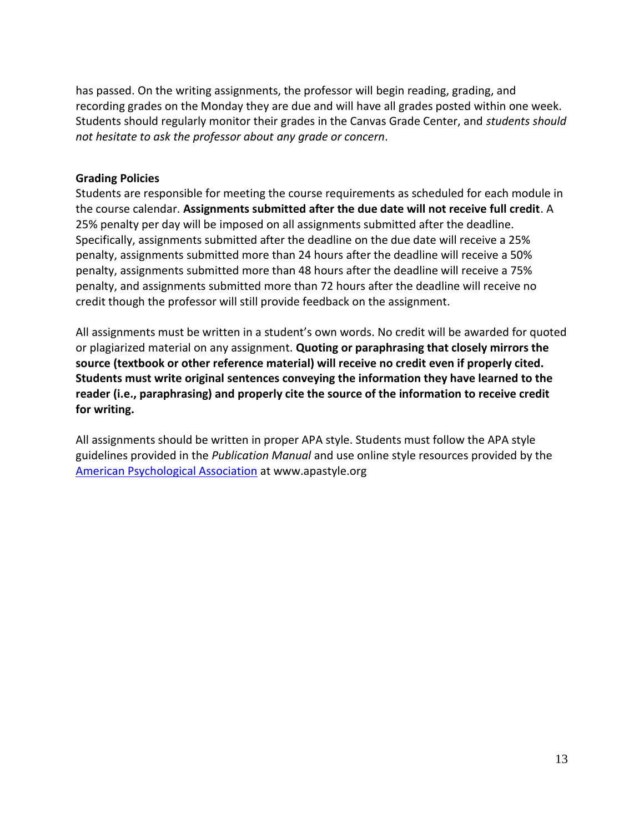has passed. On the writing assignments, the professor will begin reading, grading, and recording grades on the Monday they are due and will have all grades posted within one week. Students should regularly monitor their grades in the Canvas Grade Center, and *students should not hesitate to ask the professor about any grade or concern*.

### **Grading Policies**

Students are responsible for meeting the course requirements as scheduled for each module in the course calendar. **Assignments submitted after the due date will not receive full credit**. A 25% penalty per day will be imposed on all assignments submitted after the deadline. Specifically, assignments submitted after the deadline on the due date will receive a 25% penalty, assignments submitted more than 24 hours after the deadline will receive a 50% penalty, assignments submitted more than 48 hours after the deadline will receive a 75% penalty, and assignments submitted more than 72 hours after the deadline will receive no credit though the professor will still provide feedback on the assignment.

All assignments must be written in a student's own words. No credit will be awarded for quoted or plagiarized material on any assignment. **Quoting or paraphrasing that closely mirrors the source (textbook or other reference material) will receive no credit even if properly cited. Students must write original sentences conveying the information they have learned to the reader (i.e., paraphrasing) and properly cite the source of the information to receive credit for writing.** 

All assignments should be written in proper APA style. Students must follow the APA style guidelines provided in the *Publication Manual* and use online style resources provided by the [American Psychological Association](http://www.apastyle.org/) at www.apastyle.org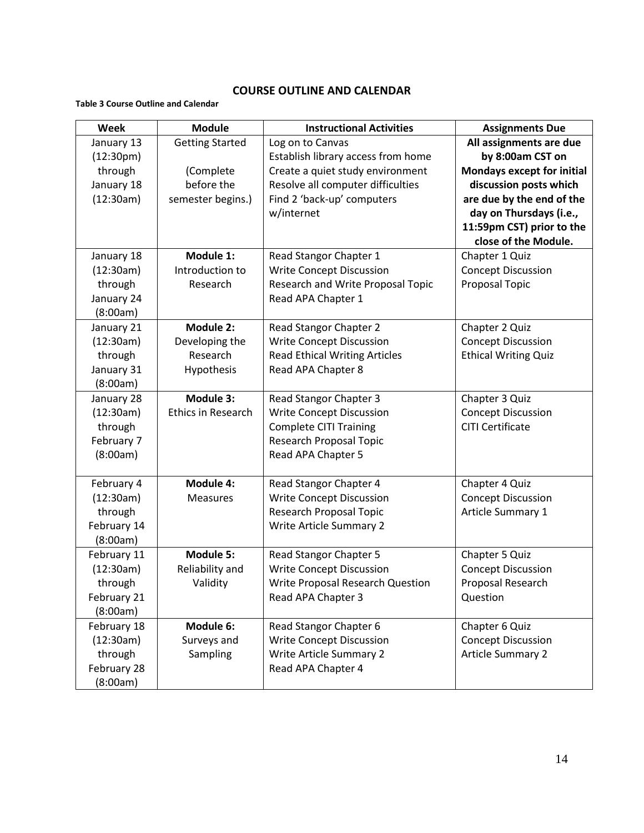#### **COURSE OUTLINE AND CALENDAR**

#### **Table 3 Course Outline and Calendar**

| Week                   | <b>Module</b>             | <b>Instructional Activities</b>      | <b>Assignments Due</b>            |
|------------------------|---------------------------|--------------------------------------|-----------------------------------|
| January 13             | <b>Getting Started</b>    | Log on to Canvas                     | All assignments are due           |
| (12:30 <sub>pm</sub> ) |                           | Establish library access from home   | by 8:00am CST on                  |
| through                | (Complete                 | Create a quiet study environment     | <b>Mondays except for initial</b> |
| January 18             | before the                | Resolve all computer difficulties    | discussion posts which            |
| (12:30am)              | semester begins.)         | Find 2 'back-up' computers           | are due by the end of the         |
|                        |                           | w/internet                           | day on Thursdays (i.e.,           |
|                        |                           |                                      | 11:59pm CST) prior to the         |
|                        |                           |                                      | close of the Module.              |
| January 18             | Module 1:                 | Read Stangor Chapter 1               | Chapter 1 Quiz                    |
| (12:30am)              | Introduction to           | <b>Write Concept Discussion</b>      | <b>Concept Discussion</b>         |
| through                | Research                  | Research and Write Proposal Topic    | <b>Proposal Topic</b>             |
| January 24             |                           | Read APA Chapter 1                   |                                   |
| (8:00am)               |                           |                                      |                                   |
| January 21             | Module 2:                 | Read Stangor Chapter 2               | Chapter 2 Quiz                    |
| (12:30am)              | Developing the            | <b>Write Concept Discussion</b>      | <b>Concept Discussion</b>         |
| through                | Research                  | <b>Read Ethical Writing Articles</b> | <b>Ethical Writing Quiz</b>       |
| January 31             | Hypothesis                | Read APA Chapter 8                   |                                   |
| (8:00am)               |                           |                                      |                                   |
| January 28             | Module 3:                 | Read Stangor Chapter 3               | Chapter 3 Quiz                    |
| (12:30am)              | <b>Ethics in Research</b> | <b>Write Concept Discussion</b>      | <b>Concept Discussion</b>         |
| through                |                           | <b>Complete CITI Training</b>        | <b>CITI Certificate</b>           |
| February 7             |                           | Research Proposal Topic              |                                   |
| (8:00am)               |                           | Read APA Chapter 5                   |                                   |
|                        |                           |                                      |                                   |
| February 4             | Module 4:                 | Read Stangor Chapter 4               | Chapter 4 Quiz                    |
| (12:30am)              | <b>Measures</b>           | <b>Write Concept Discussion</b>      | <b>Concept Discussion</b>         |
| through                |                           | Research Proposal Topic              | Article Summary 1                 |
| February 14            |                           | <b>Write Article Summary 2</b>       |                                   |
| (8:00am)               |                           |                                      |                                   |
| February 11            | Module 5:                 | Read Stangor Chapter 5               | Chapter 5 Quiz                    |
| (12:30am)              | Reliability and           | <b>Write Concept Discussion</b>      | <b>Concept Discussion</b>         |
| through                | Validity                  | Write Proposal Research Question     | Proposal Research                 |
| February 21            |                           | Read APA Chapter 3                   | Question                          |
| (8:00am)               |                           |                                      |                                   |
| February 18            | Module 6:                 | Read Stangor Chapter 6               | Chapter 6 Quiz                    |
| (12:30am)              | Surveys and               | <b>Write Concept Discussion</b>      | <b>Concept Discussion</b>         |
| through                | Sampling                  | <b>Write Article Summary 2</b>       | <b>Article Summary 2</b>          |
| February 28            |                           | Read APA Chapter 4                   |                                   |
| (8:00am)               |                           |                                      |                                   |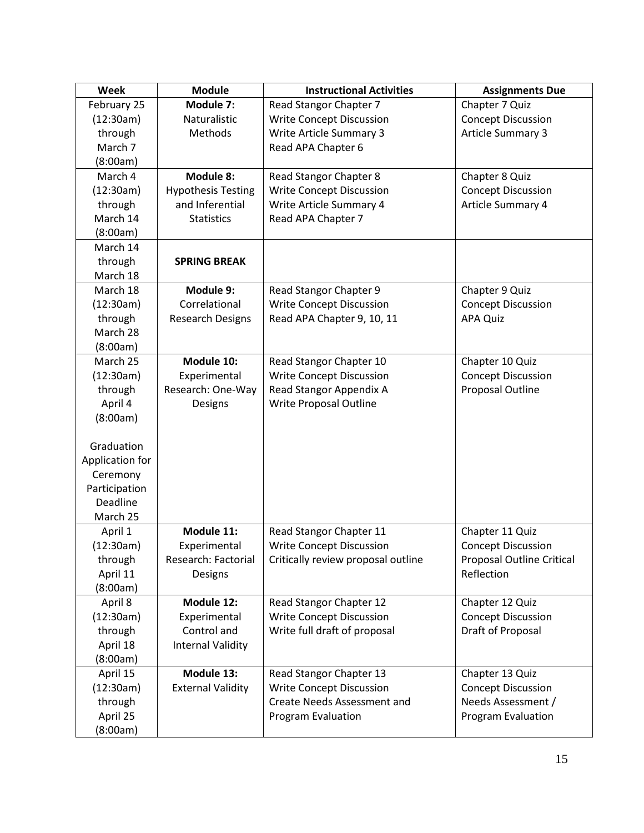| Week            | <b>Module</b>               | <b>Instructional Activities</b>    | <b>Assignments Due</b>           |
|-----------------|-----------------------------|------------------------------------|----------------------------------|
| February 25     | Module 7:                   | Read Stangor Chapter 7             | Chapter 7 Quiz                   |
| (12:30am)       | Naturalistic                | <b>Write Concept Discussion</b>    | <b>Concept Discussion</b>        |
| through         | Methods                     | <b>Write Article Summary 3</b>     | <b>Article Summary 3</b>         |
| March 7         |                             | Read APA Chapter 6                 |                                  |
| (8:00am)        |                             |                                    |                                  |
| March 4         | <b>Module 8:</b>            | Read Stangor Chapter 8             | Chapter 8 Quiz                   |
| (12:30am)       | <b>Hypothesis Testing</b>   | <b>Write Concept Discussion</b>    | <b>Concept Discussion</b>        |
| through         | and Inferential             | Write Article Summary 4            | Article Summary 4                |
| March 14        | <b>Statistics</b>           | Read APA Chapter 7                 |                                  |
| (8:00am)        |                             |                                    |                                  |
| March 14        |                             |                                    |                                  |
| through         | <b>SPRING BREAK</b>         |                                    |                                  |
| March 18        |                             |                                    |                                  |
| March 18        | Module 9:                   | Read Stangor Chapter 9             | Chapter 9 Quiz                   |
| (12:30am)       | Correlational               | <b>Write Concept Discussion</b>    | <b>Concept Discussion</b>        |
| through         | <b>Research Designs</b>     | Read APA Chapter 9, 10, 11         | <b>APA Quiz</b>                  |
| March 28        |                             |                                    |                                  |
| (8:00am)        |                             |                                    |                                  |
| March 25        | Module 10:                  | Read Stangor Chapter 10            | Chapter 10 Quiz                  |
| (12:30am)       | Experimental                | <b>Write Concept Discussion</b>    | <b>Concept Discussion</b>        |
| through         | Research: One-Way           | Read Stangor Appendix A            | Proposal Outline                 |
| April 4         | Designs                     | Write Proposal Outline             |                                  |
| (8:00am)        |                             |                                    |                                  |
|                 |                             |                                    |                                  |
| Graduation      |                             |                                    |                                  |
| Application for |                             |                                    |                                  |
| Ceremony        |                             |                                    |                                  |
| Participation   |                             |                                    |                                  |
| Deadline        |                             |                                    |                                  |
| March 25        |                             |                                    |                                  |
| April 1         | Module 11:                  | Read Stangor Chapter 11            | Chapter 11 Quiz                  |
| (12:30am)       | Experimental                | <b>Write Concept Discussion</b>    | <b>Concept Discussion</b>        |
| through         | Research: Factorial         | Critically review proposal outline | <b>Proposal Outline Critical</b> |
| April 11        | Designs                     |                                    | Reflection                       |
| (8:00am)        |                             |                                    |                                  |
| April 8         | Module 12:                  | Read Stangor Chapter 12            | Chapter 12 Quiz                  |
| (12:30am)       | Experimental<br>Control and | <b>Write Concept Discussion</b>    | <b>Concept Discussion</b>        |
| through         |                             | Write full draft of proposal       | Draft of Proposal                |
| April 18        | <b>Internal Validity</b>    |                                    |                                  |
| (8:00am)        |                             |                                    |                                  |
| April 15        | Module 13:                  | Read Stangor Chapter 13            | Chapter 13 Quiz                  |
| (12:30am)       | <b>External Validity</b>    | Write Concept Discussion           | <b>Concept Discussion</b>        |
| through         |                             | <b>Create Needs Assessment and</b> | Needs Assessment /               |
| April 25        |                             | Program Evaluation                 | Program Evaluation               |
| (8:00am)        |                             |                                    |                                  |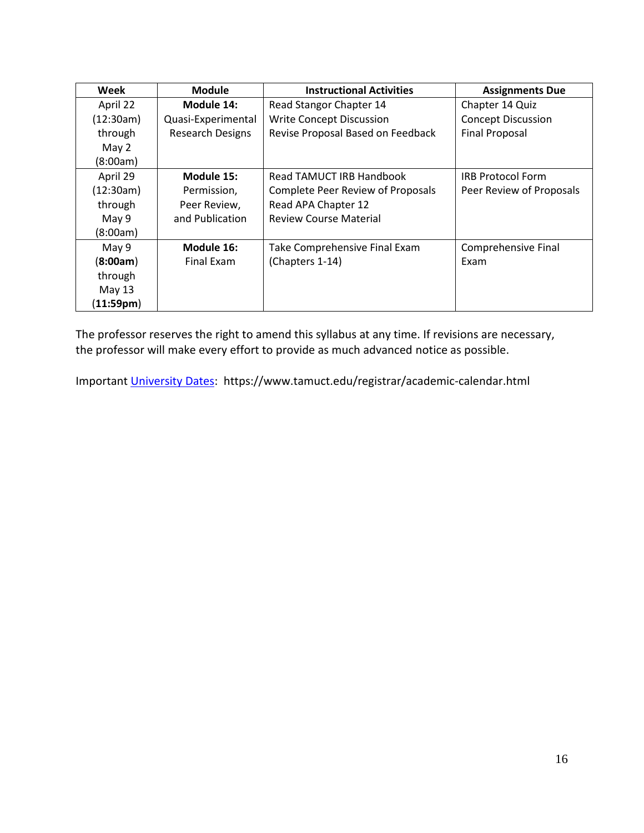| Week      | <b>Module</b>           | <b>Instructional Activities</b>   | <b>Assignments Due</b>    |
|-----------|-------------------------|-----------------------------------|---------------------------|
| April 22  | Module 14:              | Read Stangor Chapter 14           | Chapter 14 Quiz           |
| (12:30am) | Quasi-Experimental      | <b>Write Concept Discussion</b>   | <b>Concept Discussion</b> |
| through   | <b>Research Designs</b> | Revise Proposal Based on Feedback | <b>Final Proposal</b>     |
| May 2     |                         |                                   |                           |
| (8:00am)  |                         |                                   |                           |
| April 29  | Module 15:              | Read TAMUCT IRB Handbook          | <b>IRB Protocol Form</b>  |
| (12:30am) | Permission,             | Complete Peer Review of Proposals | Peer Review of Proposals  |
| through   | Peer Review,            | Read APA Chapter 12               |                           |
| May 9     | and Publication         | <b>Review Course Material</b>     |                           |
| (8:00am)  |                         |                                   |                           |
| May 9     | Module 16:              | Take Comprehensive Final Exam     | Comprehensive Final       |
| (8:00am)  | Final Exam              | (Chapters 1-14)                   | Exam                      |
| through   |                         |                                   |                           |
| May $13$  |                         |                                   |                           |
| (11:59pm) |                         |                                   |                           |

The professor reserves the right to amend this syllabus at any time. If revisions are necessary, the professor will make every effort to provide as much advanced notice as possible.

Important [University Dates:](https://www.tamuct.edu/registrar/academic-calendar.html) https://www.tamuct.edu/registrar/academic-calendar.html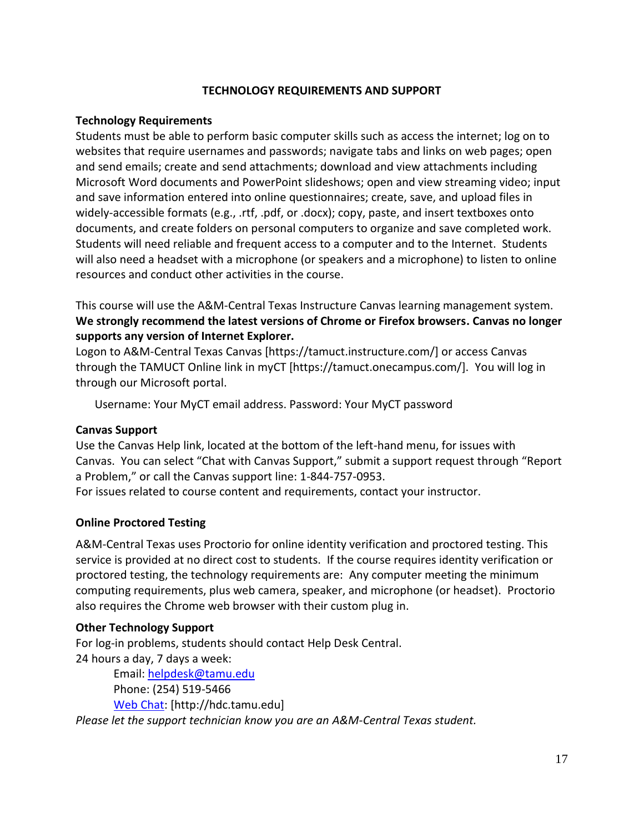#### **TECHNOLOGY REQUIREMENTS AND SUPPORT**

#### **Technology Requirements**

Students must be able to perform basic computer skills such as access the internet; log on to websites that require usernames and passwords; navigate tabs and links on web pages; open and send emails; create and send attachments; download and view attachments including Microsoft Word documents and PowerPoint slideshows; open and view streaming video; input and save information entered into online questionnaires; create, save, and upload files in widely-accessible formats (e.g., .rtf, .pdf, or .docx); copy, paste, and insert textboxes onto documents, and create folders on personal computers to organize and save completed work. Students will need reliable and frequent access to a computer and to the Internet. Students will also need a headset with a microphone (or speakers and a microphone) to listen to online resources and conduct other activities in the course.

This course will use the A&M-Central Texas Instructure Canvas learning management system. **We strongly recommend the latest versions of Chrome or Firefox browsers. Canvas no longer supports any version of Internet Explorer.**

Logon to A&M-Central Texas Canvas [https://tamuct.instructure.com/] or access Canvas through the TAMUCT Online link in myCT [https://tamuct.onecampus.com/]. You will log in through our Microsoft portal.

Username: Your MyCT email address. Password: Your MyCT password

#### **Canvas Support**

Use the Canvas Help link, located at the bottom of the left-hand menu, for issues with Canvas. You can select "Chat with Canvas Support," submit a support request through "Report a Problem," or call the Canvas support line: 1-844-757-0953.

For issues related to course content and requirements, contact your instructor.

#### **Online Proctored Testing**

A&M-Central Texas uses Proctorio for online identity verification and proctored testing. This service is provided at no direct cost to students. If the course requires identity verification or proctored testing, the technology requirements are: Any computer meeting the minimum computing requirements, plus web camera, speaker, and microphone (or headset). Proctorio also requires the Chrome web browser with their custom plug in.

#### **Other Technology Support**

For log-in problems, students should contact Help Desk Central. 24 hours a day, 7 days a week:

Email: [helpdesk@tamu.edu](mailto:helpdesk@tamu.edu) Phone: (254) 519-5466 [Web Chat:](http://hdc.tamu.edu/) [http://hdc.tamu.edu] *Please let the support technician know you are an A&M-Central Texas student.*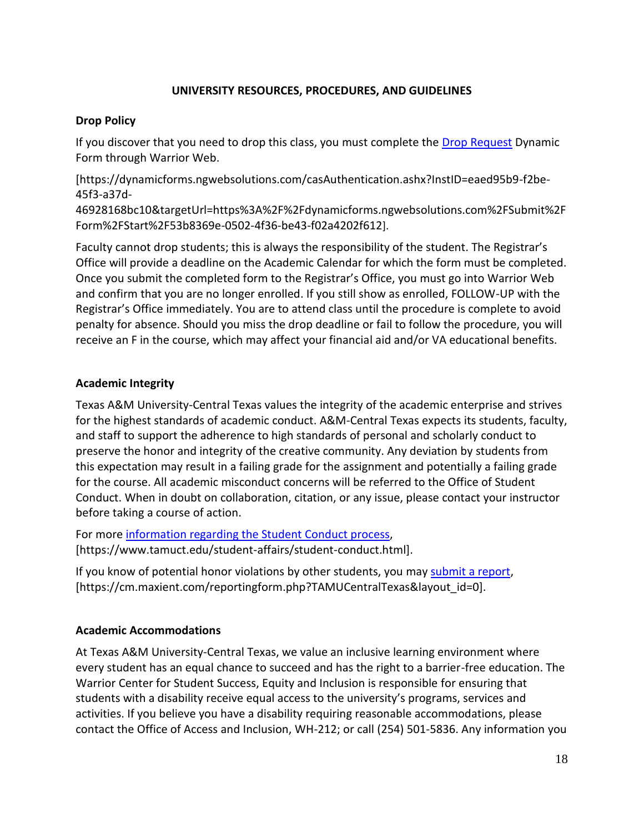### **UNIVERSITY RESOURCES, PROCEDURES, AND GUIDELINES**

#### **Drop Policy**

If you discover that you need to drop this class, you must complete the [Drop Request](https://dynamicforms.ngwebsolutions.com/casAuthentication.ashx?InstID=eaed95b9-f2be-45f3-a37d-46928168bc10&targetUrl=https%3A%2F%2Fdynamicforms.ngwebsolutions.com%2FSubmit%2FForm%2FStart%2F53b8369e-0502-4f36-be43-f02a4202f612) Dynamic Form through Warrior Web.

[https://dynamicforms.ngwebsolutions.com/casAuthentication.ashx?InstID=eaed95b9-f2be-45f3-a37d-

46928168bc10&targetUrl=https%3A%2F%2Fdynamicforms.ngwebsolutions.com%2FSubmit%2F Form%2FStart%2F53b8369e-0502-4f36-be43-f02a4202f612].

Faculty cannot drop students; this is always the responsibility of the student. The Registrar's Office will provide a deadline on the Academic Calendar for which the form must be completed. Once you submit the completed form to the Registrar's Office, you must go into Warrior Web and confirm that you are no longer enrolled. If you still show as enrolled, FOLLOW-UP with the Registrar's Office immediately. You are to attend class until the procedure is complete to avoid penalty for absence. Should you miss the drop deadline or fail to follow the procedure, you will receive an F in the course, which may affect your financial aid and/or VA educational benefits.

#### **Academic Integrity**

Texas A&M University-Central Texas values the integrity of the academic enterprise and strives for the highest standards of academic conduct. A&M-Central Texas expects its students, faculty, and staff to support the adherence to high standards of personal and scholarly conduct to preserve the honor and integrity of the creative community. Any deviation by students from this expectation may result in a failing grade for the assignment and potentially a failing grade for the course. All academic misconduct concerns will be referred to the Office of Student Conduct. When in doubt on collaboration, citation, or any issue, please contact your instructor before taking a course of action.

For more [information](https://nam04.safelinks.protection.outlook.com/?url=https%3A%2F%2Fwww.tamuct.edu%2Fstudent-affairs%2Fstudent-conduct.html&data=04%7C01%7Clisa.bunkowski%40tamuct.edu%7Ccfb6e486f24745f53e1a08d910055cb2%7C9eed4e3000f744849ff193ad8005acec%7C0%7C0%7C637558437485252160%7CUnknown%7CTWFpbGZsb3d8eyJWIjoiMC4wLjAwMDAiLCJQIjoiV2luMzIiLCJBTiI6Ik1haWwiLCJXVCI6Mn0%3D%7C1000&sdata=yjftDEVHvLX%2FhM%2FcFU0B99krV1RgEWR%2BJ%2BhvtoR6TYk%3D&reserved=0) regarding the Student Conduct process, [https://www.tamuct.edu/student-affairs/student-conduct.html].

If you know of potential honor violations by other students, you may [submit](https://nam04.safelinks.protection.outlook.com/?url=https%3A%2F%2Fcm.maxient.com%2Freportingform.php%3FTAMUCentralTexas%26layout_id%3D0&data=04%7C01%7Clisa.bunkowski%40tamuct.edu%7Ccfb6e486f24745f53e1a08d910055cb2%7C9eed4e3000f744849ff193ad8005acec%7C0%7C0%7C637558437485262157%7CUnknown%7CTWFpbGZsb3d8eyJWIjoiMC4wLjAwMDAiLCJQIjoiV2luMzIiLCJBTiI6Ik1haWwiLCJXVCI6Mn0%3D%7C1000&sdata=CXGkOa6uPDPX1IMZ87z3aZDq2n91xfHKu4MMS43Ejjk%3D&reserved=0) a report, [https://cm.maxient.com/reportingform.php?TAMUCentralTexas&layout\_id=0].

#### **Academic Accommodations**

At Texas A&M University-Central Texas, we value an inclusive learning environment where every student has an equal chance to succeed and has the right to a barrier-free education. The Warrior Center for Student Success, Equity and Inclusion is responsible for ensuring that students with a disability receive equal access to the university's programs, services and activities. If you believe you have a disability requiring reasonable accommodations, please contact the Office of Access and Inclusion, WH-212; or call (254) 501-5836. Any information you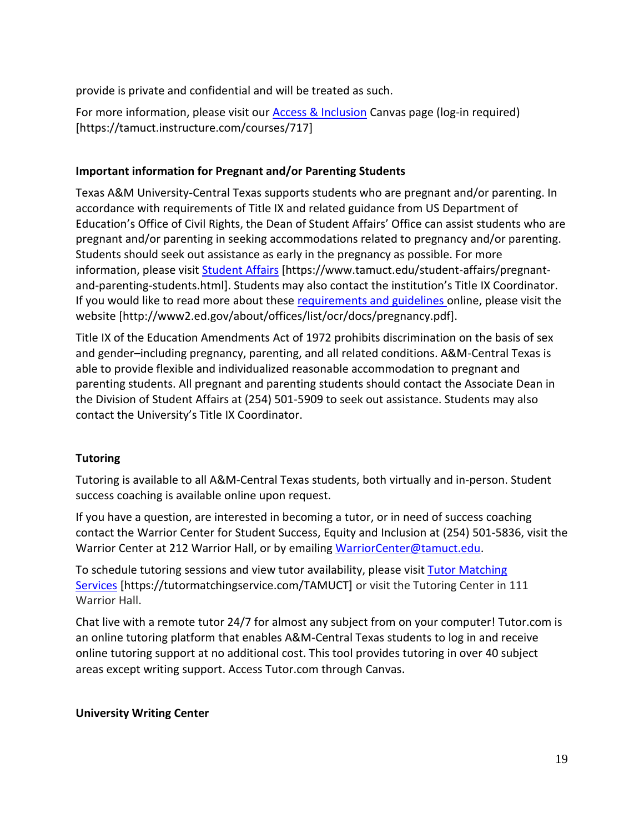provide is private and confidential and will be treated as such.

For more information, please visit our [Access & Inclusion](https://tamuct.instructure.com/courses/717) Canvas page (log-in required) [https://tamuct.instructure.com/courses/717]

### **Important information for Pregnant and/or Parenting Students**

Texas A&M University-Central Texas supports students who are pregnant and/or parenting. In accordance with requirements of Title IX and related guidance from US Department of Education's Office of Civil Rights, the Dean of Student Affairs' Office can assist students who are pregnant and/or parenting in seeking accommodations related to pregnancy and/or parenting. Students should seek out assistance as early in the pregnancy as possible. For more information, please visit [Student Affairs](https://www.tamuct.edu/student-affairs/pregnant-and-parenting-students.html) [https://www.tamuct.edu/student-affairs/pregnantand-parenting-students.html]. Students may also contact the institution's Title IX Coordinator. If you would like to read more about these [requirements and guidelines](http://www2.ed.gov/about/offices/list/ocr/docs/pregnancy.pdf) online, please visit the website [http://www2.ed.gov/about/offices/list/ocr/docs/pregnancy.pdf].

Title IX of the Education Amendments Act of 1972 prohibits discrimination on the basis of sex and gender–including pregnancy, parenting, and all related conditions. A&M-Central Texas is able to provide flexible and individualized reasonable accommodation to pregnant and parenting students. All pregnant and parenting students should contact the Associate Dean in the Division of Student Affairs at (254) 501-5909 to seek out assistance. Students may also contact the University's Title IX Coordinator.

# **Tutoring**

Tutoring is available to all A&M-Central Texas students, both virtually and in-person. Student success coaching is available online upon request.

If you have a question, are interested in becoming a tutor, or in need of success coaching contact the Warrior Center for Student Success, Equity and Inclusion at (254) 501-5836, visit the Warrior Center at 212 Warrior Hall, or by emailing [WarriorCenter@tamuct.edu.](mailto:WarriorCenter@tamuct.edu)

To schedule tutoring sessions and view tutor availability, please visit Tutor [Matching](https://tutormatchingservice.com/TAMUCT) [Services](https://tutormatchingservice.com/TAMUCT) [https://tutormatchingservice.com/TAMUCT] or visit the Tutoring Center in 111 Warrior Hall.

Chat live with a remote tutor 24/7 for almost any subject from on your computer! Tutor.com is an online tutoring platform that enables A&M-Central Texas students to log in and receive online tutoring support at no additional cost. This tool provides tutoring in over 40 subject areas except writing support. Access Tutor.com through Canvas.

#### **University Writing Center**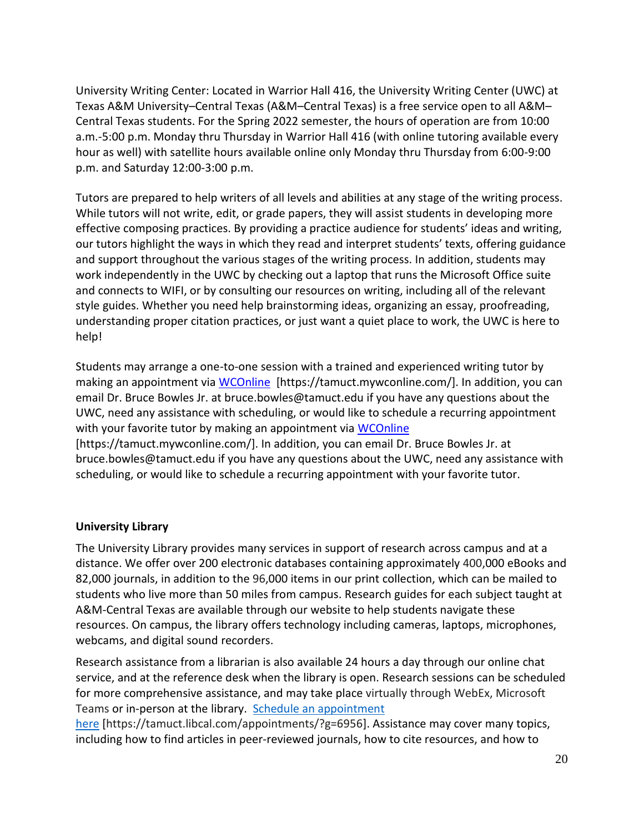University Writing Center: Located in Warrior Hall 416, the University Writing Center (UWC) at Texas A&M University–Central Texas (A&M–Central Texas) is a free service open to all A&M– Central Texas students. For the Spring 2022 semester, the hours of operation are from 10:00 a.m.-5:00 p.m. Monday thru Thursday in Warrior Hall 416 (with online tutoring available every hour as well) with satellite hours available online only Monday thru Thursday from 6:00-9:00 p.m. and Saturday 12:00-3:00 p.m.

Tutors are prepared to help writers of all levels and abilities at any stage of the writing process. While tutors will not write, edit, or grade papers, they will assist students in developing more effective composing practices. By providing a practice audience for students' ideas and writing, our tutors highlight the ways in which they read and interpret students' texts, offering guidance and support throughout the various stages of the writing process. In addition, students may work independently in the UWC by checking out a laptop that runs the Microsoft Office suite and connects to WIFI, or by consulting our resources on writing, including all of the relevant style guides. Whether you need help brainstorming ideas, organizing an essay, proofreading, understanding proper citation practices, or just want a quiet place to work, the UWC is here to help!

Students may arrange a one-to-one session with a trained and experienced writing tutor by making an appointment via [WCOnline](https://tamuct.mywconline.com/) [https://tamuct.mywconline.com/]. In addition, you can email Dr. Bruce Bowles Jr. at bruce.bowles@tamuct.edu if you have any questions about the UWC, need any assistance with scheduling, or would like to schedule a recurring appointment with your favorite tutor by making an appointment via [WCOnline](https://tamuct.mywconline.com/) [https://tamuct.mywconline.com/]. In addition, you can email Dr. Bruce Bowles Jr. at bruce.bowles@tamuct.edu if you have any questions about the UWC, need any assistance with scheduling, or would like to schedule a recurring appointment with your favorite tutor.

#### **University Library**

The University Library provides many services in support of research across campus and at a distance. We offer over 200 electronic databases containing approximately 400,000 eBooks and 82,000 journals, in addition to the 96,000 items in our print collection, which can be mailed to students who live more than 50 miles from campus. Research guides for each subject taught at A&M-Central Texas are available through our website to help students navigate these resources. On campus, the library offers technology including cameras, laptops, microphones, webcams, and digital sound recorders.

Research assistance from a librarian is also available 24 hours a day through our online chat service, and at the reference desk when the library is open. Research sessions can be scheduled for more comprehensive assistance, and may take place virtually through WebEx, Microsoft Teams or in-person at the library. Schedule an [appointment](https://nam04.safelinks.protection.outlook.com/?url=https%3A%2F%2Ftamuct.libcal.com%2Fappointments%2F%3Fg%3D6956&data=04%7C01%7Clisa.bunkowski%40tamuct.edu%7Cde2c07d9f5804f09518008d9ab7ba6ff%7C9eed4e3000f744849ff193ad8005acec%7C0%7C0%7C637729369835011558%7CUnknown%7CTWFpbGZsb3d8eyJWIjoiMC4wLjAwMDAiLCJQIjoiV2luMzIiLCJBTiI6Ik1haWwiLCJXVCI6Mn0%3D%7C3000&sdata=KhtjgRSAw9aq%2FoBsB6wyu8b7PSuGN5EGPypzr3Ty2No%3D&reserved=0)

[here](https://nam04.safelinks.protection.outlook.com/?url=https%3A%2F%2Ftamuct.libcal.com%2Fappointments%2F%3Fg%3D6956&data=04%7C01%7Clisa.bunkowski%40tamuct.edu%7Cde2c07d9f5804f09518008d9ab7ba6ff%7C9eed4e3000f744849ff193ad8005acec%7C0%7C0%7C637729369835011558%7CUnknown%7CTWFpbGZsb3d8eyJWIjoiMC4wLjAwMDAiLCJQIjoiV2luMzIiLCJBTiI6Ik1haWwiLCJXVCI6Mn0%3D%7C3000&sdata=KhtjgRSAw9aq%2FoBsB6wyu8b7PSuGN5EGPypzr3Ty2No%3D&reserved=0) [https://tamuct.libcal.com/appointments/?g=6956]. Assistance may cover many topics, including how to find articles in peer-reviewed journals, how to cite resources, and how to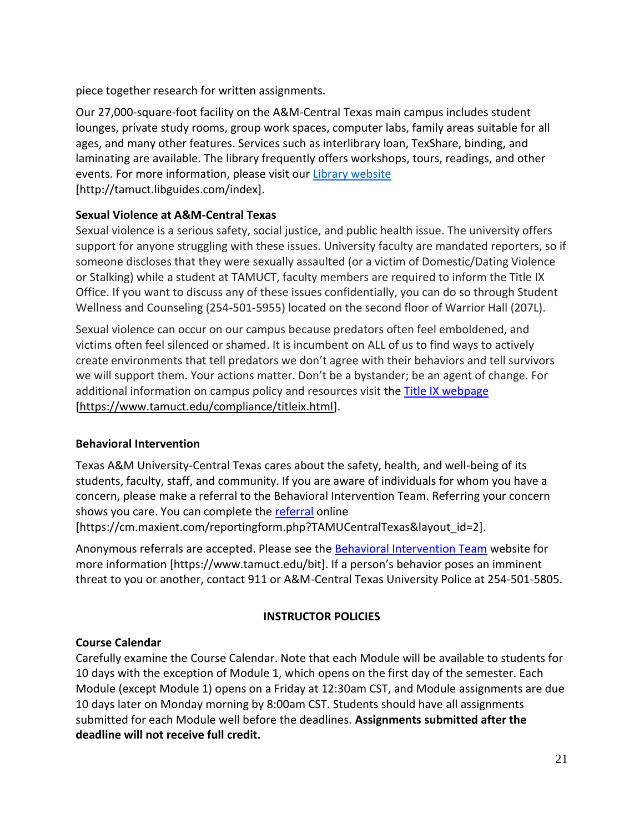piece together research for written assignments.

Our 27,000-square-foot facility on the A&M-Central Texas main campus includes student lounges, private study rooms, group work spaces, computer labs, family areas suitable for all ages, and many other features. Services such as interlibrary loan, TexShare, binding, and laminating are available. The library frequently offers workshops, tours, readings, and other events. For more information, please visit our Library [website](https://nam04.safelinks.protection.outlook.com/?url=https%3A%2F%2Ftamuct.libguides.com%2Findex&data=04%7C01%7Clisa.bunkowski%40tamuct.edu%7C7d8489e8839a4915335f08d916f067f2%7C9eed4e3000f744849ff193ad8005acec%7C0%7C0%7C637566044056484222%7CUnknown%7CTWFpbGZsb3d8eyJWIjoiMC4wLjAwMDAiLCJQIjoiV2luMzIiLCJBTiI6Ik1haWwiLCJXVCI6Mn0%3D%7C1000&sdata=2R755V6rcIyedGrd4Os5rkgn1PvhHKU3kUV1vBKiHFo%3D&reserved=0) [http://tamuct.libguides.com/index].

# **Sexual Violence at A&M-Central Texas**

Sexual violence is a serious safety, social justice, and public health issue. The university offers support for anyone struggling with these issues. University faculty are mandated reporters, so if someone discloses that they were sexually assaulted (or a victim of Domestic/Dating Violence or Stalking) while a student at TAMUCT, faculty members are required to inform the Title IX Office. If you want to discuss any of these issues confidentially, you can do so through Student Wellness and Counseling (254-501-5955) located on the second floor of Warrior Hall (207L).

Sexual violence can occur on our campus because predators often feel emboldened, and victims often feel silenced or shamed. It is incumbent on ALL of us to find ways to actively create environments that tell predators we don't agree with their behaviors and tell survivors we will support them. Your actions matter. Don't be a bystander; be an agent of change. For additional information on campus policy and resources visit the **Title IX webpage** [\[https://www.tamuct.edu/compliance/titleix.html\]](https://www.tamuct.edu/compliance/titleix.html).

#### **Behavioral Intervention**

Texas A&M University-Central Texas cares about the safety, health, and well-being of its students, faculty, staff, and community. If you are aware of individuals for whom you have a concern, please make a referral to the Behavioral Intervention Team. Referring your concern shows you care. You can complete the [referral](https://cm.maxient.com/reportingform.php?TAMUCentralTexas&layout_id=2) online

[https://cm.maxient.com/reportingform.php?TAMUCentralTexas&layout\_id=2].

Anonymous referrals are accepted. Please see the [Behavioral Intervention Team](https://www.tamuct.edu/bit) website for more information [https://www.tamuct.edu/bit]. If a person's behavior poses an imminent threat to you or another, contact 911 or A&M-Central Texas University Police at 254-501-5805.

#### **INSTRUCTOR POLICIES**

#### **Course Calendar**

Carefully examine the Course Calendar. Note that each Module will be available to students for 10 days with the exception of Module 1, which opens on the first day of the semester. Each Module (except Module 1) opens on a Friday at 12:30am CST, and Module assignments are due 10 days later on Monday morning by 8:00am CST. Students should have all assignments submitted for each Module well before the deadlines. **Assignments submitted after the deadline will not receive full credit.**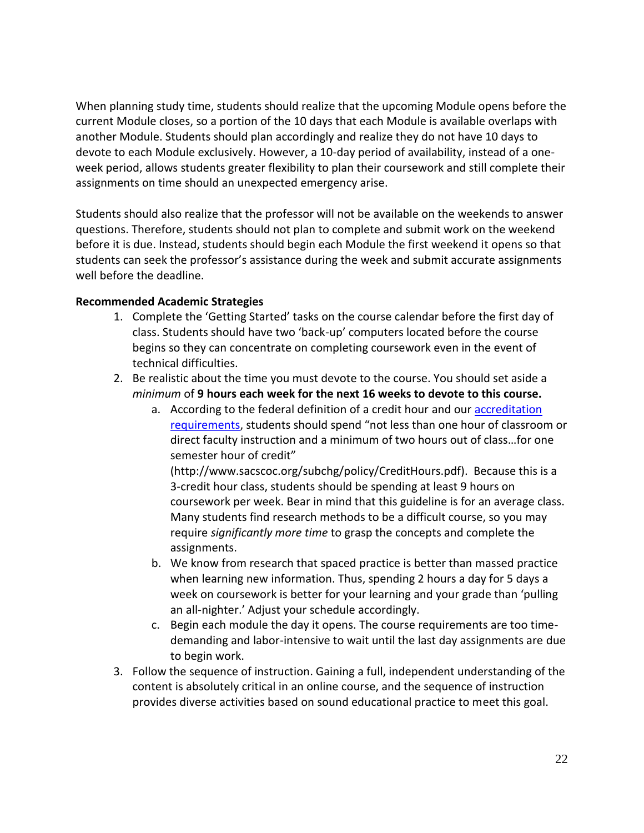When planning study time, students should realize that the upcoming Module opens before the current Module closes, so a portion of the 10 days that each Module is available overlaps with another Module. Students should plan accordingly and realize they do not have 10 days to devote to each Module exclusively. However, a 10-day period of availability, instead of a oneweek period, allows students greater flexibility to plan their coursework and still complete their assignments on time should an unexpected emergency arise.

Students should also realize that the professor will not be available on the weekends to answer questions. Therefore, students should not plan to complete and submit work on the weekend before it is due. Instead, students should begin each Module the first weekend it opens so that students can seek the professor's assistance during the week and submit accurate assignments well before the deadline.

# **Recommended Academic Strategies**

- 1. Complete the 'Getting Started' tasks on the course calendar before the first day of class. Students should have two 'back-up' computers located before the course begins so they can concentrate on completing coursework even in the event of technical difficulties.
- 2. Be realistic about the time you must devote to the course. You should set aside a *minimum* of **9 hours each week for the next 16 weeks to devote to this course.**
	- a. According to the federal definition of a credit hour and our **accreditation** [requirements](http://www.sacscoc.org/subchg/policy/CreditHours.pdf), students should spend "not less than one hour of classroom or direct faculty instruction and a minimum of two hours out of class…for one semester hour of credit"

(http://www.sacscoc.org/subchg/policy/CreditHours.pdf). Because this is a 3-credit hour class, students should be spending at least 9 hours on coursework per week. Bear in mind that this guideline is for an average class. Many students find research methods to be a difficult course, so you may require *significantly more time* to grasp the concepts and complete the assignments.

- b. We know from research that spaced practice is better than massed practice when learning new information. Thus, spending 2 hours a day for 5 days a week on coursework is better for your learning and your grade than 'pulling an all-nighter.' Adjust your schedule accordingly.
- c. Begin each module the day it opens. The course requirements are too timedemanding and labor-intensive to wait until the last day assignments are due to begin work.
- 3. Follow the sequence of instruction. Gaining a full, independent understanding of the content is absolutely critical in an online course, and the sequence of instruction provides diverse activities based on sound educational practice to meet this goal.